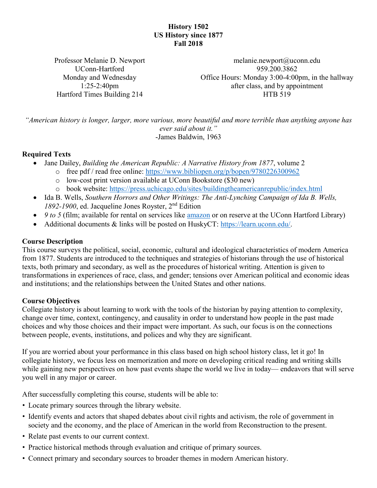# **History 1502 US History since 1877 Fall 2018**

Professor Melanie D. Newport UConn-Hartford Monday and Wednesday 1:25-2:40pm Hartford Times Building 214

[melanie.newport@uconn.edu](mailto:melanie.newport@uconn.edu) 959.200.3862 Office Hours: Monday 3:00-4:00pm, in the hallway after class, and by appointment HTB 519

*"American history is longer, larger, more various, more beautiful and more terrible than anything anyone has ever said about it."* -James Baldwin, 1963

#### **Required Texts**

- Jane Dailey, *Building the American Republic: A Narrative History from 1877*, volume 2
	- o free pdf / read free online:<https://www.bibliopen.org/p/bopen/9780226300962>
		- o low-cost print version available at UConn Bookstore (\$30 new)
		- o book website:<https://press.uchicago.edu/sites/buildingtheamericanrepublic/index.html>
- Ida B. Wells, *Southern Horrors and Other Writings: The Anti-Lynching Campaign of Ida B. Wells, 1892-1900*, ed. Jacqueline Jones Royster, 2nd Edition
- 9 to 5 (film; available for rental on services like [amazon](https://www.amazon.com/9-5-Jane-Fonda/dp/B005SAYZP8/ref=tmm_aiv_swatch_1?_encoding=UTF8&qid=&sr=) or on reserve at the UConn Hartford Library)
- Additional documents & links will be posted on HuskyCT: [https://learn.uconn.edu/.](https://learn.uconn.edu/)

#### **Course Description**

This course surveys the political, social, economic, cultural and ideological characteristics of modern America from 1877. Students are introduced to the techniques and strategies of historians through the use of historical texts, both primary and secondary, as well as the procedures of historical writing. Attention is given to transformations in experiences of race, class, and gender; tensions over American political and economic ideas and institutions; and the relationships between the United States and other nations.

#### **Course Objectives**

Collegiate history is about learning to work with the tools of the historian by paying attention to complexity, change over time, context, contingency, and causality in order to understand how people in the past made choices and why those choices and their impact were important. As such, our focus is on the connections between people, events, institutions, and polices and why they are significant.

If you are worried about your performance in this class based on high school history class, let it go! In collegiate history, we focus less on memorization and more on developing critical reading and writing skills while gaining new perspectives on how past events shape the world we live in today— endeavors that will serve you well in any major or career.

After successfully completing this course, students will be able to:

- Locate primary sources through the library website.
- Identify events and actors that shaped debates about civil rights and activism, the role of government in society and the economy, and the place of American in the world from Reconstruction to the present.
- Relate past events to our current context.
- Practice historical methods through evaluation and critique of primary sources.
- Connect primary and secondary sources to broader themes in modern American history.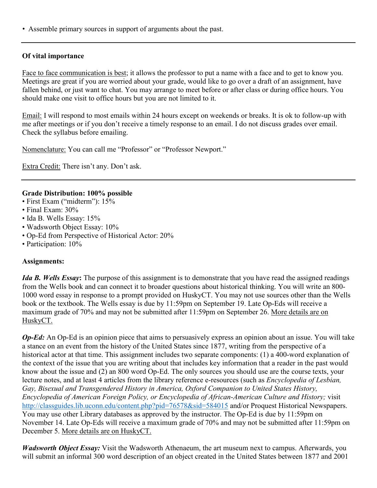• Assemble primary sources in support of arguments about the past.

# **Of vital importance**

Face to face communication is best; it allows the professor to put a name with a face and to get to know you. Meetings are great if you are worried about your grade, would like to go over a draft of an assignment, have fallen behind, or just want to chat. You may arrange to meet before or after class or during office hours. You should make one visit to office hours but you are not limited to it.

Email: I will respond to most emails within 24 hours except on weekends or breaks. It is ok to follow-up with me after meetings or if you don't receive a timely response to an email. I do not discuss grades over email. Check the syllabus before emailing.

Nomenclature: You can call me "Professor" or "Professor Newport."

Extra Credit: There isn't any. Don't ask.

#### **Grade Distribution: 100% possible**

- First Exam ("midterm"): 15%
- Final Exam: 30%
- Ida B. Wells Essay: 15%
- Wadsworth Object Essay: 10%
- Op-Ed from Perspective of Historical Actor: 20%
- Participation: 10%

## **Assignments:**

*Ida B. Wells Essay***:** The purpose of this assignment is to demonstrate that you have read the assigned readings from the Wells book and can connect it to broader questions about historical thinking. You will write an 800- 1000 word essay in response to a prompt provided on HuskyCT. You may not use sources other than the Wells book or the textbook. The Wells essay is due by 11:59pm on September 19. Late Op-Eds will receive a maximum grade of 70% and may not be submitted after 11:59pm on September 26. More details are on HuskyCT.

*Op-Ed:* An Op-Ed is an opinion piece that aims to persuasively express an opinion about an issue. You will take a stance on an event from the history of the United States since 1877, writing from the perspective of a historical actor at that time. This assignment includes two separate components: (1) a 400-word explanation of the context of the issue that you are writing about that includes key information that a reader in the past would know about the issue and (2) an 800 word Op-Ed. The only sources you should use are the course texts, your lecture notes, and at least 4 articles from the library reference e-resources (such as *Encyclopedia of Lesbian, Gay, Bisexual and Transgendered History in America, Oxford Companion to United States History, Encyclopedia of American Foreign Policy, or Encyclopedia of African-American Culture and History;* visit <http://classguides.lib.uconn.edu/content.php?pid=76578&sid=584015> and/or Proquest Historical Newspapers. You may use other Library databases as approved by the instructor. The Op-Ed is due by 11:59pm on November 14. Late Op-Eds will receive a maximum grade of 70% and may not be submitted after 11:59pm on December 5. More details are on HuskyCT.

*Wadsworth Object Essay:* Visit the Wadsworth Athenaeum, the art museum next to campus. Afterwards, you will submit an informal 300 word description of an object created in the United States between 1877 and 2001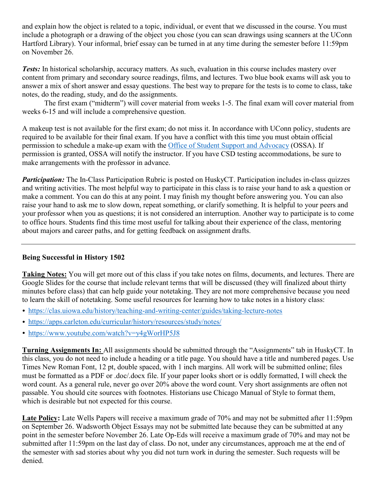and explain how the object is related to a topic, individual, or event that we discussed in the course. You must include a photograph or a drawing of the object you chose (you can scan drawings using scanners at the UConn Hartford Library). Your informal, brief essay can be turned in at any time during the semester before 11:59pm on November 26.

*Tests:* In historical scholarship, accuracy matters. As such, evaluation in this course includes mastery over content from primary and secondary source readings, films, and lectures. Two blue book exams will ask you to answer a mix of short answer and essay questions. The best way to prepare for the tests is to come to class, take notes, do the reading, study, and do the assignments.

The first exam ("midterm") will cover material from weeks 1-5. The final exam will cover material from weeks 6-15 and will include a comprehensive question.

A makeup test is not available for the first exam; do not miss it. In accordance with UConn policy, students are required to be available for their final exam. If you have a conflict with this time you must obtain official permission to schedule a make-up exam with the Office of Student Support and [Advocacy](http://www.ossa.uconn.edu/) (OSSA). If permission is granted, OSSA will notify the instructor. If you have CSD testing accommodations, be sure to make arrangements with the professor in advance.

*Participation:* The In-Class Participation Rubric is posted on HuskyCT. Participation includes in-class quizzes and writing activities. The most helpful way to participate in this class is to raise your hand to ask a question or make a comment. You can do this at any point. I may finish my thought before answering you. You can also raise your hand to ask me to slow down, repeat something, or clarify something. It is helpful to your peers and your professor when you as questions; it is not considered an interruption. Another way to participate is to come to office hours. Students find this time most useful for talking about their experience of the class, mentoring about majors and career paths, and for getting feedback on assignment drafts.

## **Being Successful in History 1502**

**Taking Notes:** You will get more out of this class if you take notes on films, documents, and lectures. There are Google Slides for the course that include relevant terms that will be discussed (they will finalized about thirty minutes before class) that can help guide your notetaking. They are not more comprehensive because you need to learn the skill of notetaking. Some useful resources for learning how to take notes in a history class:

- <https://clas.uiowa.edu/history/teaching-and-writing-center/guides/taking-lecture-notes>
- <https://apps.carleton.edu/curricular/history/resources/study/notes/>
- <https://www.youtube.com/watch?v=y4gWorHP5J8>

**Turning Assignments In:** All assignments should be submitted through the "Assignments" tab in HuskyCT. In this class, you do not need to include a heading or a title page. You should have a title and numbered pages. Use Times New Roman Font, 12 pt, double spaced, with 1 inch margins. All work will be submitted online; files must be formatted as a PDF or .doc/.docx file. If your paper looks short or is oddly formatted, I will check the word count. As a general rule, never go over 20% above the word count. Very short assignments are often not passable. You should cite sources with footnotes. Historians use Chicago Manual of Style to format them, which is desirable but not expected for this course.

**Late Policy:** Late Wells Papers will receive a maximum grade of 70% and may not be submitted after 11:59pm on September 26. Wadsworth Object Essays may not be submitted late because they can be submitted at any point in the semester before November 26. Late Op-Eds will receive a maximum grade of 70% and may not be submitted after 11:59pm on the last day of class. Do not, under any circumstances, approach me at the end of the semester with sad stories about why you did not turn work in during the semester. Such requests will be denied.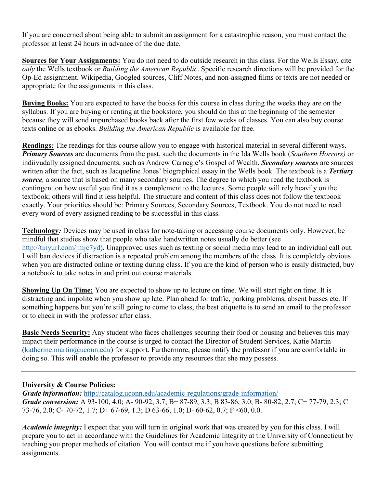If you are concerned about being able to submit an assignment for a catastrophic reason, you must contact the professor at least 24 hours in advance of the due date.

**Sources for Your Assignments:** You do not need to do outside research in this class. For the Wells Essay, cite *only* the Wells textbook or *Building the American Republic*. Specific research directions will be provided for the Op-Ed assignment. Wikipedia, Googled sources, Cliff Notes, and non-assigned films or texts are not needed or appropriate for the assignments in this class.

**Buying Books:** You are expected to have the books for this course in class during the weeks they are on the syllabus. If you are buying or renting at the bookstore, you should do this at the beginning of the semester because they will send unpurchased books back after the first few weeks of classes. You can also buy course texts online or as ebooks. *Building the American Republic* is available for free.

**Readings***:* The readings for this course allow you to engage with historical material in several different ways. *Primary Sources* are documents from the past, such the documents in the Ida Wells book (*Southern Horrors)* or indiivudally assigned documents, such as Andrew Carnegie's Gospel of Wealth. *Secondary sources* are sources written after the fact, such as Jacqueline Jones' biographical essay in the Wells book. The textbook is a *Tertiary source,* a source that is based on many secondary sources. The degree to which you read the textbook is contingent on how useful you find it as a complement to the lectures. Some people will rely heavily on the textbook; others will find it less helpful. The structure and content of this class does not follow the textbook exactly. Your priorities should be: Primary Sources, Secondary Sources, Textbook. You do not need to read every word of every assigned reading to be successful in this class.

**Technology***:* Devices may be used in class for note-taking or accessing course documents only. However, be mindful that studies show that people who take handwritten notes usually do better (see [http://tinyurl.com/jmjc7yd\)](http://tinyurl.com/jmjc7yd). Unapproved uses such as texting or social media may lead to an individual call out. I will ban devices if distraction is a repeated problem among the members of the class. It is completely obvious when you are distracted online or texting during class. If you are the kind of person who is easily distracted, buy a notebook to take notes in and print out course materials.

**Showing Up On Time:** You are expected to show up to lecture on time. We will start right on time. It is distracting and impolite when you show up late. Plan ahead for traffic, parking problems, absent busses etc. If something happens but you're still going to come to class, the best etiquette is to send an email to the professor or to check in with the professor after class.

**Basic Needs Security:** Any student who faces challenges securing their food or housing and believes this may impact their performance in the course is urged to contact the Director of Student Services, Katie Martin [\(katherine.martin@uconn.edu\)](mailto:katherine.martin@uconn.edu) for support. Furthermore, please notify the professor if you are comfortable in doing so. This will enable the professor to provide any resources that she may possess.

# **University & Course Policies:**

*Grade information:* <http://catalog.uconn.edu/academic-regulations/grade-information/> *Grade conversion:* A 93-100, 4.0; A- 90-92, 3.7; B+ 87-89, 3.3; B 83-86, 3.0; B- 80-82, 2.7; C+ 77-79, 2.3; C 73-76, 2.0; C- 70-72, 1.7; D+ 67-69, 1.3; D 63-66, 1.0; D- 60-62, 0.7; F <60, 0.0.

*Academic integrity:* I expect that you will turn in original work that was created by you for this class. I will prepare you to act in accordance with the Guidelines for Academic Integrity at the University of Connecticut by teaching you proper methods of citation. You will contact me if you have questions before submitting assignments.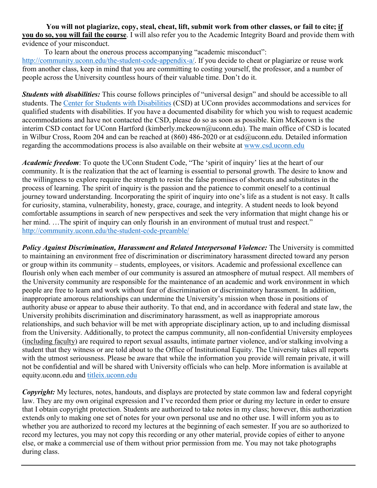You will not plagiarize, copy, steal, cheat, lift, submit work from other classes, or fail to cite; if **you do so, you will fail the course**. I will also refer you to the Academic Integrity Board and provide them with evidence of your misconduct.

To learn about the onerous process accompanying "academic misconduct": [http://community.uconn.edu/the-student-code-appendix-a/.](http://community.uconn.edu/the-student-code-appendix-a/) If you decide to cheat or plagiarize or reuse work from another class, keep in mind that you are committing to costing yourself, the professor, and a number of people across the University countless hours of their valuable time. Don't do it.

*Students with disabilities:* This course follows principles of "universal design" and should be accessible to all students. The Center for Students with [Disabilities](http://www.csd.uconn.edu/) (CSD) at UConn provides accommodations and services for qualified students with disabilities. If you have a documented disability for which you wish to request academic accommodations and have not contacted the CSD, please do so as soon as possible. Kim McKeown is the interim CSD contact for UConn Hartford (kimberly.mckeown@uconn.edu). The main office of CSD is located in Wilbur Cross, Room 204 and can be reached at (860) 486-2020 or at csd@uconn.edu. Detailed information regarding the accommodations process is also available on their website at [www.csd.uconn.edu](http://www.csd.uconn.edu/)

*Academic freedom*: To quote the UConn Student Code, "The 'spirit of inquiry' lies at the heart of our community. It is the realization that the act of learning is essential to personal growth. The desire to know and the willingness to explore require the strength to resist the false promises of shortcuts and substitutes in the process of learning. The spirit of inquiry is the passion and the patience to commit oneself to a continual journey toward understanding. Incorporating the spirit of inquiry into one's life as a student is not easy. It calls for curiosity, stamina, vulnerability, honesty, grace, courage, and integrity. A student needs to look beyond comfortable assumptions in search of new perspectives and seek the very information that might change his or her mind. ... The spirit of inquiry can only flourish in an environment of mutual trust and respect." <http://community.uconn.edu/the-student-code-preamble/>

*Policy Against Discrimination, Harassment and Related Interpersonal Violence:* The University is committed to maintaining an environment free of discrimination or discriminatory harassment directed toward any person or group within its community – students, employees, or visitors. Academic and professional excellence can flourish only when each member of our community is assured an atmosphere of mutual respect. All members of the University community are responsible for the maintenance of an academic and work environment in which people are free to learn and work without fear of discrimination or discriminatory harassment. In addition, inappropriate amorous relationships can undermine the University's mission when those in positions of authority abuse or appear to abuse their authority. To that end, and in accordance with federal and state law, the University prohibits discrimination and discriminatory harassment, as well as inappropriate amorous relationships, and such behavior will be met with appropriate disciplinary action, up to and including dismissal from the University. Additionally, to protect the campus community, all non-confidential University employees (including faculty) are required to report sexual assaults, intimate partner violence, and/or stalking involving a student that they witness or are told about to the Office of Institutional Equity. The University takes all reports with the utmost seriousness. Please be aware that while the information you provide will remain private, it will not be confidential and will be shared with University officials who can help. More information is available at equity.uconn.edu and [titleix.uconn.edu](http://titleix.uconn.edu/)

*Copyright:* My lectures, notes, handouts, and displays are protected by state common law and federal copyright law. They are my own original expression and I've recorded them prior or during my lecture in order to ensure that I obtain copyright protection. Students are authorized to take notes in my class; however, this authorization extends only to making one set of notes for your own personal use and no other use. I will inform you as to whether you are authorized to record my lectures at the beginning of each semester. If you are so authorized to record my lectures, you may not copy this recording or any other material, provide copies of either to anyone else, or make a commercial use of them without prior permission from me. You may not take photographs during class.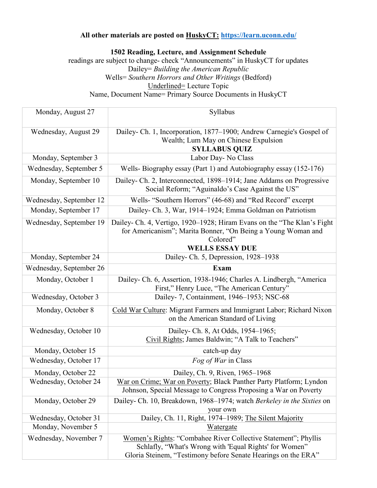# **All other materials are posted on HuskyCT: <https://learn.uconn.edu/>**

**1502 Reading, Lecture, and Assignment Schedule**

readings are subject to change- check "Announcements" in HuskyCT for updates Dailey= *Building the American Republic* Wells= *Southern Horrors and Other Writings* (Bedford) Underlined= Lecture Topic Name, Document Name= Primary Source Documents in HuskyCT

| Monday, August 27       | Syllabus                                                                                                                                                                                  |
|-------------------------|-------------------------------------------------------------------------------------------------------------------------------------------------------------------------------------------|
| Wednesday, August 29    | Dailey- Ch. 1, Incorporation, 1877–1900; Andrew Carnegie's Gospel of<br>Wealth; Lum May on Chinese Expulsion<br><b>SYLLABUS QUIZ</b>                                                      |
| Monday, September 3     | Labor Day- No Class                                                                                                                                                                       |
| Wednesday, September 5  | Wells-Biography essay (Part 1) and Autobiography essay (152-176)                                                                                                                          |
| Monday, September 10    | Dailey- Ch. 2, Interconnected, 1898–1914; Jane Addams on Progressive<br>Social Reform; "Aguinaldo's Case Against the US"                                                                  |
| Wednesday, September 12 | Wells- "Southern Horrors" (46-68) and "Red Record" excerpt                                                                                                                                |
| Monday, September 17    | Dailey- Ch. 3, War, 1914-1924; Emma Goldman on Patriotism                                                                                                                                 |
| Wednesday, September 19 | Dailey- Ch. 4, Vertigo, 1920–1928; Hiram Evans on the "The Klan's Fight"<br>for Americanism"; Marita Bonner, "On Being a Young Woman and<br>Colored"<br><b>WELLS ESSAY DUE</b>            |
| Monday, September 24    | Dailey- Ch. 5, Depression, 1928-1938                                                                                                                                                      |
| Wednesday, September 26 | Exam                                                                                                                                                                                      |
| Monday, October 1       | Dailey- Ch. 6, Assertion, 1938-1946; Charles A. Lindbergh, "America<br>First," Henry Luce, "The American Century"                                                                         |
| Wednesday, October 3    | Dailey- 7, Containment, 1946-1953; NSC-68                                                                                                                                                 |
| Monday, October 8       | Cold War Culture: Migrant Farmers and Immigrant Labor; Richard Nixon<br>on the American Standard of Living                                                                                |
| Wednesday, October 10   | Dailey- Ch. 8, At Odds, 1954–1965;<br>Civil Rights; James Baldwin; "A Talk to Teachers"                                                                                                   |
| Monday, October 15      | catch-up day                                                                                                                                                                              |
| Wednesday, October 17   | <i>Fog of War</i> in Class                                                                                                                                                                |
| Monday, October 22      | Dailey, Ch. 9, Riven, 1965-1968                                                                                                                                                           |
| Wednesday, October 24   | War on Crime; War on Poverty; Black Panther Party Platform; Lyndon<br>Johnson, Special Message to Congress Proposing a War on Poverty                                                     |
| Monday, October 29      | Dailey- Ch. 10, Breakdown, 1968–1974; watch Berkeley in the Sixties on<br>your own                                                                                                        |
| Wednesday, October 31   | Dailey, Ch. 11, Right, 1974–1989; The Silent Majority                                                                                                                                     |
| Monday, November 5      | Watergate                                                                                                                                                                                 |
| Wednesday, November 7   | Women's Rights: "Combahee River Collective Statement"; Phyllis<br>Schlafly, "What's Wrong with 'Equal Rights' for Women"<br>Gloria Steinem, "Testimony before Senate Hearings on the ERA" |